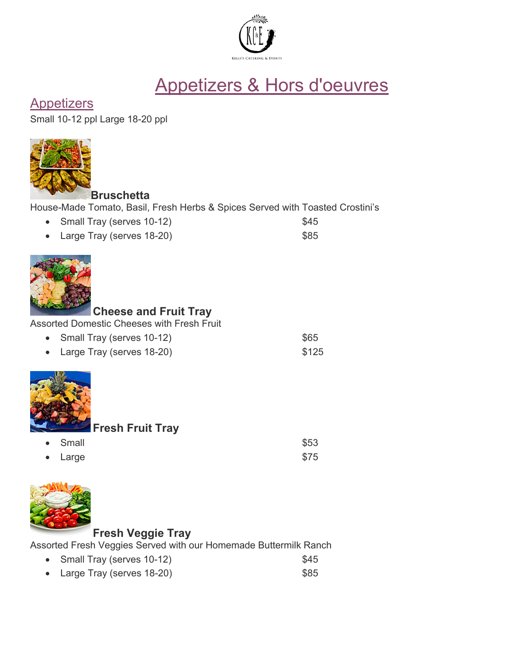

# Appetizers & Hors d'oeuvres

# **Appetizers**

Small 10-12 ppl Large 18-20 ppl



**Bruschetta**

| House-Made Tomato, Basil, Fresh Herbs & Spices Served with Toasted Crostini's |  |  |  |  |
|-------------------------------------------------------------------------------|--|--|--|--|
|-------------------------------------------------------------------------------|--|--|--|--|

- Small Tray (serves 10-12) \$45
- Large Tray (serves 18-20) 685



# **Cheese and Fruit Tray**

Assorted Domestic Cheeses with Fresh Fruit

• Small Tray (serves 10-12) \$65 • Large Tray (serves 18-20) \$125



**Fresh Fruit Tray**

| • Small         | \$53 |
|-----------------|------|
| $\bullet$ Large | \$75 |



# **Fresh Veggie Tray**

Assorted Fresh Veggies Served with our Homemade Buttermilk Ranch

- Small Tray (serves 10-12) \$45
- Large Tray (serves 18-20) \$85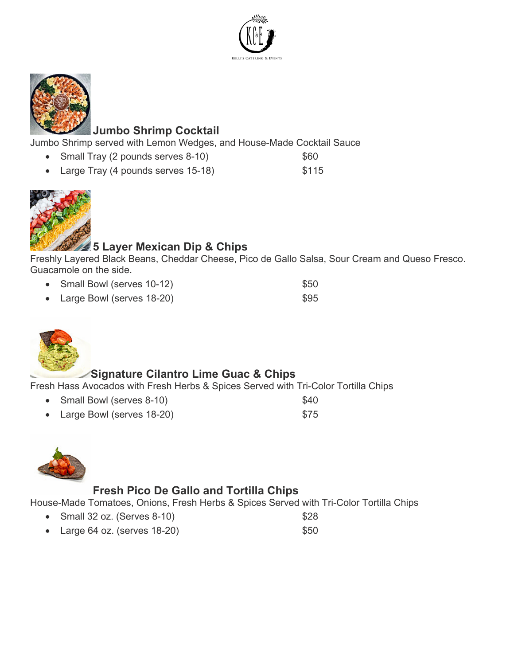



## **Jumbo Shrimp Cocktail**

Jumbo Shrimp served with Lemon Wedges, and House-Made Cocktail Sauce

- Small Tray (2 pounds serves 8-10) \$60
- Large Tray (4 pounds serves 15-18) \$115



# **5 Layer Mexican Dip & Chips**

Freshly Layered Black Beans, Cheddar Cheese, Pico de Gallo Salsa, Sour Cream and Queso Fresco. Guacamole on the side.

- Small Bowl (serves 10-12) \$50
- Large Bowl (serves 18-20) \$95



# **Signature Cilantro Lime Guac & Chips**

Fresh Hass Avocados with Fresh Herbs & Spices Served with Tri-Color Tortilla Chips

- Small Bowl (serves 8-10) \$40
- **Large Bowl (serves 18-20)** \$75



## **Fresh Pico De Gallo and Tortilla Chips**

House-Made Tomatoes, Onions, Fresh Herbs & Spices Served with Tri-Color Tortilla Chips

- Small 32 oz. (Serves 8-10) \$28
- Large 64 oz. (serves  $18-20$ )  $$50$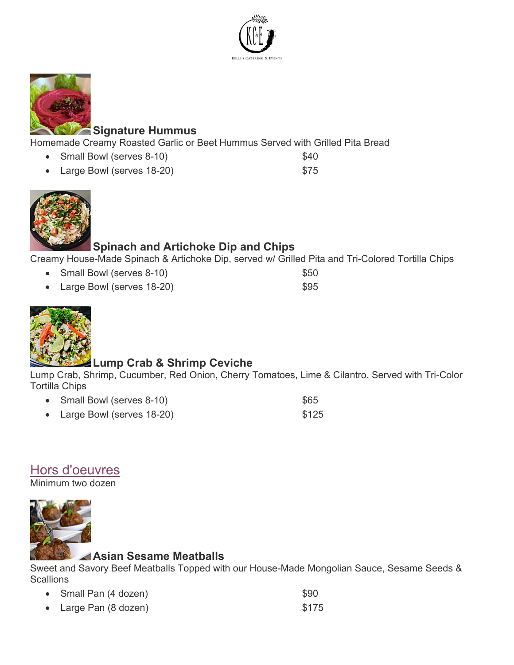



## **Signature Hummus**

Homemade Creamy Roasted Garlic or Beet Hummus Served with Grilled Pita Bread

- Small Bowl (serves 8-10) \$40
- Large Bowl (serves 18-20) \$75





# **Spinach and Artichoke Dip and Chips**

Creamy House-Made Spinach & Artichoke Dip, served w/ Grilled Pita and Tri-Colored Tortilla Chips

- Small Bowl (serves 8-10) \$50
- **Large Bowl (serves 18-20)** 695

## **Lump Crab & Shrimp Ceviche**

Lump Crab, Shrimp, Cucumber, Red Onion, Cherry Tomatoes, Lime & Cilantro. Served with Tri-Color Tortilla Chips

- Small Bowl (serves 8-10) \$65
- Large Bowl (serves 18-20) \$125

# Hors d'oeuvres

Minimum two dozen



## **Asian Sesame Meatballs**

Sweet and Savory Beef Meatballs Topped with our House-Made Mongolian Sauce, Sesame Seeds & **Scallions** 

| • Small Pan (4 dozen)           | \$90  |
|---------------------------------|-------|
| • Large Pan $(8 \text{ dozen})$ | \$175 |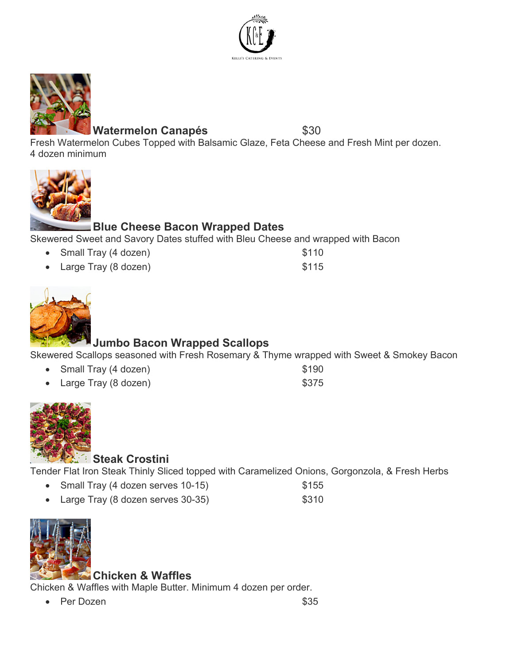



## Watermelon Canapés **\$30**

Fresh Watermelon Cubes Topped with Balsamic Glaze, Feta Cheese and Fresh Mint per dozen. 4 dozen minimum



# **Blue Cheese Bacon Wrapped Dates**

Skewered Sweet and Savory Dates stuffed with Bleu Cheese and wrapped with Bacon

• Small Tray (4 dozen) \$110

| • Large Tray (8 dozen) | \$115 |
|------------------------|-------|



# **Jumbo Bacon Wrapped Scallops**

Skewered Scallops seasoned with Fresh Rosemary & Thyme wrapped with Sweet & Smokey Bacon

| • Small Tray (4 dozen) | \$190 |
|------------------------|-------|
| • Large Tray (8 dozen) | \$375 |



## **Steak Crostini**

Tender Flat Iron Steak Thinly Sliced topped with Caramelized Onions, Gorgonzola, & Fresh Herbs

- Small Tray (4 dozen serves 10-15) \$155
- Large Tray (8 dozen serves 30-35) \$310



## **Chicken & Waffles**

Chicken & Waffles with Maple Butter. Minimum 4 dozen per order.

• Per Dozen  $$35$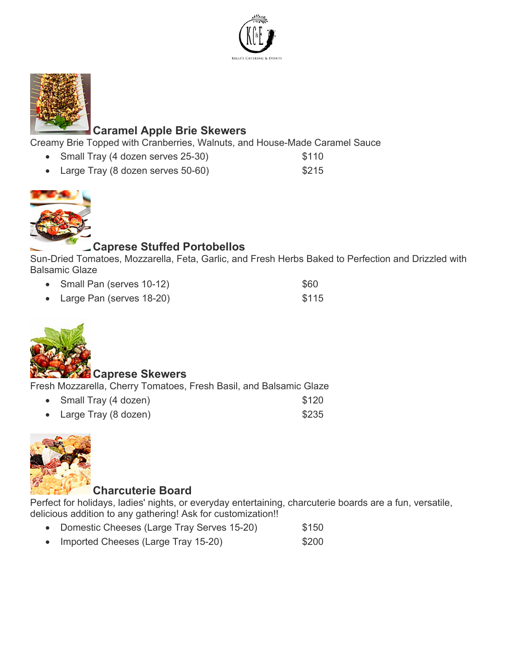



## **Caramel Apple Brie Skewers**

Creamy Brie Topped with Cranberries, Walnuts, and House-Made Caramel Sauce

- Small Tray (4 dozen serves 25-30) \$110
- Large Tray (8 dozen serves 50-60) \$215



## **Caprese Stuffed Portobellos**

Sun-Dried Tomatoes, Mozzarella, Feta, Garlic, and Fresh Herbs Baked to Perfection and Drizzled with Balsamic Glaze

- Small Pan (serves 10-12) \$60
- Large Pan (serves 18-20) \$115



#### **Caprese Skewers**

Fresh Mozzarella, Cherry Tomatoes, Fresh Basil, and Balsamic Glaze

| • Small Tray (4 dozen) | \$120 |
|------------------------|-------|
| • Large Tray (8 dozen) | \$235 |



## **Charcuterie Board**

Perfect for holidays, ladies' nights, or everyday entertaining, charcuterie boards are a fun, versatile, delicious addition to any gathering! Ask for customization!!

- Domestic Cheeses (Large Tray Serves 15-20) \$150
- Imported Cheeses (Large Tray 15-20) \$200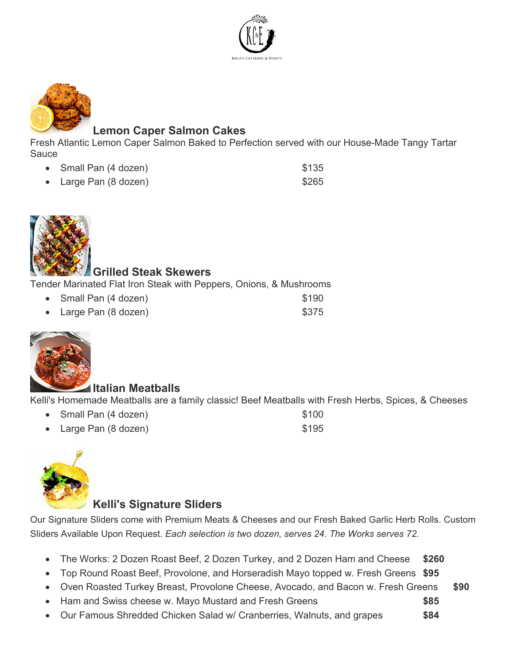



## **Lemon Caper Salmon Cakes**

Fresh Atlantic Lemon Caper Salmon Baked to Perfection served with our House-Made Tangy Tartar Sauce

| • Small Pan (4 dozen)           | \$135 |
|---------------------------------|-------|
| • Large Pan $(8 \text{ dozen})$ | \$265 |



## **Grilled Steak Skewers**

Tender Marinated Flat Iron Steak with Peppers, Onions, & Mushrooms

| • Small Pan (4 dozen) | \$190 |
|-----------------------|-------|
| • Large Pan (8 dozen) | \$375 |



#### **Italian Meatballs**

Kelli's Homemade Meatballs are a family classic! Beef Meatballs with Fresh Herbs, Spices, & Cheeses

- example 2 and Pan (4 dozen) \$100
- **Large Pan (8 dozen)** \$195



## **Kelli's Signature Sliders**

Our Signature Sliders come with Premium Meats & Cheeses and our Fresh Baked Garlic Herb Rolls. Custom Sliders Available Upon Request. *Each selection is two dozen, serves 24. The Works serves 72.*

- The Works: 2 Dozen Roast Beef, 2 Dozen Turkey, and 2 Dozen Ham and Cheese **\$260**
- Top Round Roast Beef, Provolone, and Horseradish Mayo topped w. Fresh Greens **\$95**
- Oven Roasted Turkey Breast, Provolone Cheese, Avocado, and Bacon w. Fresh Greens **\$90**
- Ham and Swiss cheese w. Mayo Mustard and Fresh Greens **\$85**
- Our Famous Shredded Chicken Salad w/ Cranberries, Walnuts, and grapes **\$84**